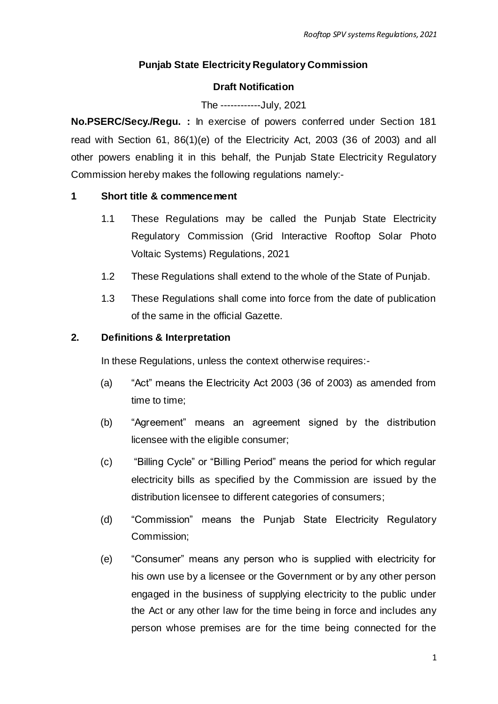## **Punjab State Electricity Regulatory Commission**

## **Draft Notification**

## The ------------July, 2021

**No.PSERC/Secy./Regu. :** In exercise of powers conferred under Section 181 read with Section 61, 86(1)(e) of the Electricity Act, 2003 (36 of 2003) and all other powers enabling it in this behalf, the Punjab State Electricity Regulatory Commission hereby makes the following regulations namely:-

## **1 Short title & commencement**

- 1.1 These Regulations may be called the Punjab State Electricity Regulatory Commission (Grid Interactive Rooftop Solar Photo Voltaic Systems) Regulations, 2021
- 1.2 These Regulations shall extend to the whole of the State of Punjab.
- 1.3 These Regulations shall come into force from the date of publication of the same in the official Gazette.

## **2. Definitions & Interpretation**

In these Regulations, unless the context otherwise requires:-

- (a) "Act" means the Electricity Act 2003 (36 of 2003) as amended from time to time;
- (b) "Agreement" means an agreement signed by the distribution licensee with the eligible consumer;
- (c) "Billing Cycle" or "Billing Period" means the period for which regular electricity bills as specified by the Commission are issued by the distribution licensee to different categories of consumers;
- (d) "Commission" means the Punjab State Electricity Regulatory Commission;
- (e) "Consumer" means any person who is supplied with electricity for his own use by a licensee or the Government or by any other person engaged in the business of supplying electricity to the public under the Act or any other law for the time being in force and includes any person whose premises are for the time being connected for the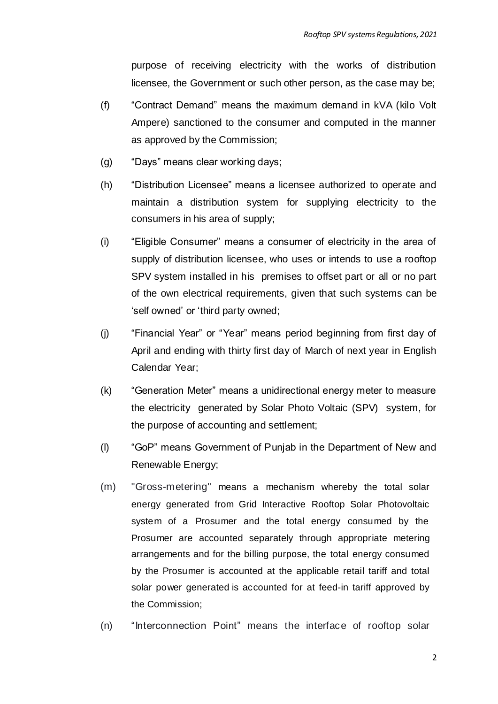purpose of receiving electricity with the works of distribution licensee, the Government or such other person, as the case may be;

- (f) "Contract Demand" means the maximum demand in kVA (kilo Volt Ampere) sanctioned to the consumer and computed in the manner as approved by the Commission;
- (g) "Days" means clear working days;
- (h) "Distribution Licensee" means a licensee authorized to operate and maintain a distribution system for supplying electricity to the consumers in his area of supply;
- (i) "Eligible Consumer" means a consumer of electricity in the area of supply of distribution licensee, who uses or intends to use a rooftop SPV system installed in his premises to offset part or all or no part of the own electrical requirements, given that such systems can be 'self owned' or 'third party owned;
- (j) "Financial Year" or "Year" means period beginning from first day of April and ending with thirty first day of March of next year in English Calendar Year;
- (k) "Generation Meter" means a unidirectional energy meter to measure the electricity generated by Solar Photo Voltaic (SPV) system, for the purpose of accounting and settlement;
- (l) "GoP" means Government of Punjab in the Department of New and Renewable Energy;
- (m) "Gross-metering" means a mechanism whereby the total solar energy generated from Grid Interactive Rooftop Solar Photovoltaic system of a Prosumer and the total energy consumed by the Prosumer are accounted separately through appropriate metering arrangements and for the billing purpose, the total energy consumed by the Prosumer is accounted at the applicable retail tariff and total solar power generated is accounted for at feed-in tariff approved by the Commission;
- (n) "Interconnection Point" means the interface of rooftop solar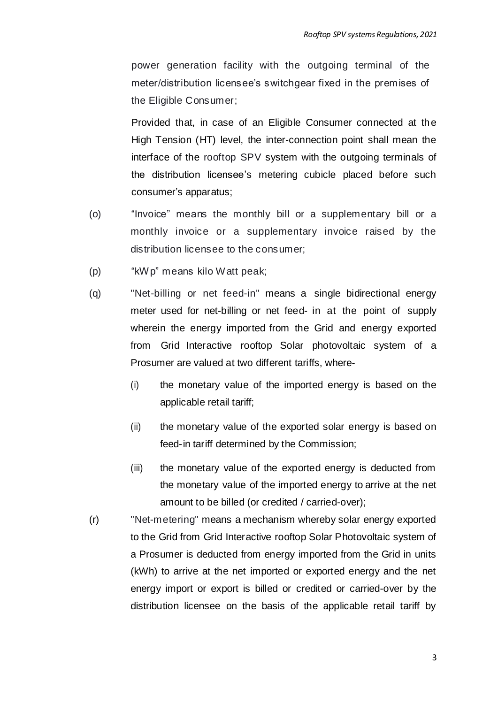power generation facility with the outgoing terminal of the meter/distribution licensee's switchgear fixed in the premises of the Eligible Consumer;

Provided that, in case of an Eligible Consumer connected at the High Tension (HT) level, the inter-connection point shall mean the interface of the rooftop SPV system with the outgoing terminals of the distribution licensee's metering cubicle placed before such consumer's apparatus;

- (o) "Invoice" means the monthly bill or a supplementary bill or a monthly invoice or a supplementary invoice raised by the distribution licensee to the consumer;
- (p) "kWp" means kilo Watt peak;
- (q) "Net-billing or net feed-in" means a single bidirectional energy meter used for net-billing or net feed- in at the point of supply wherein the energy imported from the Grid and energy exported from Grid Interactive rooftop Solar photovoltaic system of a Prosumer are valued at two different tariffs, where-
	- (i) the monetary value of the imported energy is based on the applicable retail tariff;
	- (ii) the monetary value of the exported solar energy is based on feed-in tariff determined by the Commission;
	- (iii) the monetary value of the exported energy is deducted from the monetary value of the imported energy to arrive at the net amount to be billed (or credited / carried-over);
- (r) "Net-metering" means a mechanism whereby solar energy exported to the Grid from Grid Interactive rooftop Solar Photovoltaic system of a Prosumer is deducted from energy imported from the Grid in units (kWh) to arrive at the net imported or exported energy and the net energy import or export is billed or credited or carried-over by the distribution licensee on the basis of the applicable retail tariff by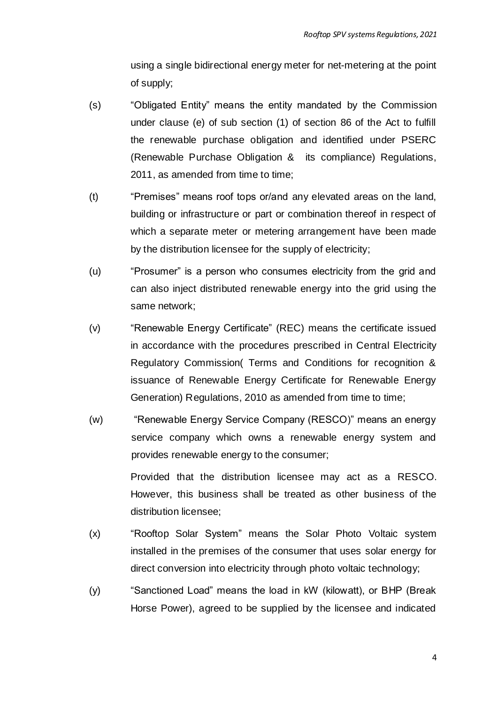using a single bidirectional energy meter for net-metering at the point of supply;

- (s) "Obligated Entity" means the entity mandated by the Commission under clause (e) of sub section (1) of section 86 of the Act to fulfill the renewable purchase obligation and identified under PSERC (Renewable Purchase Obligation & its compliance) Regulations, 2011, as amended from time to time;
- (t) "Premises" means roof tops or/and any elevated areas on the land, building or infrastructure or part or combination thereof in respect of which a separate meter or metering arrangement have been made by the distribution licensee for the supply of electricity;
- (u) "Prosumer" is a person who consumes electricity from the grid and can also inject distributed renewable energy into the grid using the same network;
- (v) "Renewable Energy Certificate" (REC) means the certificate issued in accordance with the procedures prescribed in Central Electricity Regulatory Commission( Terms and Conditions for recognition & issuance of Renewable Energy Certificate for Renewable Energy Generation) Regulations, 2010 as amended from time to time;
- (w) "Renewable Energy Service Company (RESCO)" means an energy service company which owns a renewable energy system and provides renewable energy to the consumer;

Provided that the distribution licensee may act as a RESCO. However, this business shall be treated as other business of the distribution licensee;

- (x) "Rooftop Solar System" means the Solar Photo Voltaic system installed in the premises of the consumer that uses solar energy for direct conversion into electricity through photo voltaic technology;
- (y) "Sanctioned Load" means the load in kW (kilowatt), or BHP (Break Horse Power), agreed to be supplied by the licensee and indicated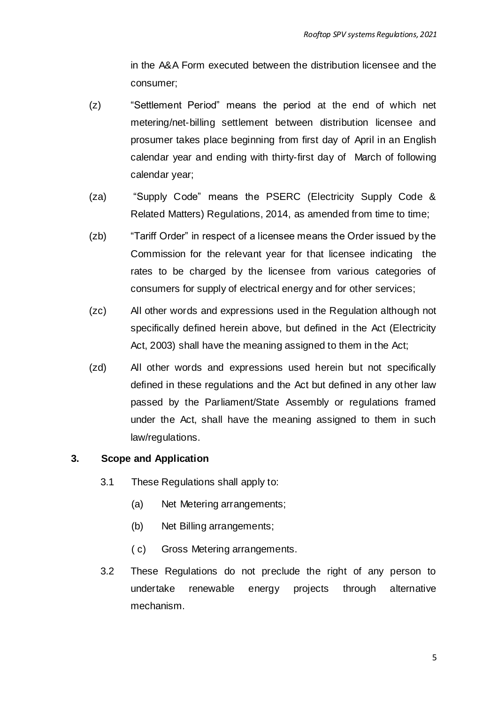in the A&A Form executed between the distribution licensee and the consumer;

- (z) "Settlement Period" means the period at the end of which net metering/net-billing settlement between distribution licensee and prosumer takes place beginning from first day of April in an English calendar year and ending with thirty-first day of March of following calendar year;
- (za) "Supply Code" means the PSERC (Electricity Supply Code & Related Matters) Regulations, 2014, as amended from time to time;
- (zb) "Tariff Order" in respect of a licensee means the Order issued by the Commission for the relevant year for that licensee indicating the rates to be charged by the licensee from various categories of consumers for supply of electrical energy and for other services;
- (zc) All other words and expressions used in the Regulation although not specifically defined herein above, but defined in the Act (Electricity Act, 2003) shall have the meaning assigned to them in the Act;
- (zd) All other words and expressions used herein but not specifically defined in these regulations and the Act but defined in any other law passed by the Parliament/State Assembly or regulations framed under the Act, shall have the meaning assigned to them in such law/regulations.

## **3. Scope and Application**

- 3.1 These Regulations shall apply to:
	- (a) Net Metering arrangements;
	- (b) Net Billing arrangements;
	- ( c) Gross Metering arrangements.
- 3.2 These Regulations do not preclude the right of any person to undertake renewable energy projects through alternative mechanism.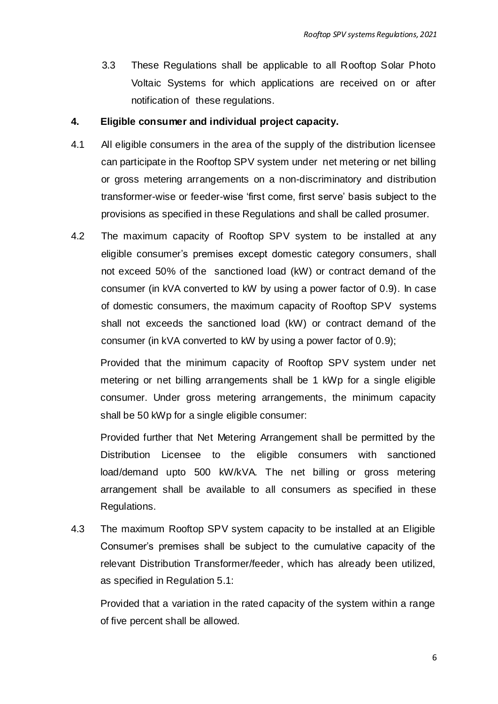3.3 These Regulations shall be applicable to all Rooftop Solar Photo Voltaic Systems for which applications are received on or after notification of these regulations.

#### **4. Eligible consumer and individual project capacity.**

- 4.1 All eligible consumers in the area of the supply of the distribution licensee can participate in the Rooftop SPV system under net metering or net billing or gross metering arrangements on a non-discriminatory and distribution transformer-wise or feeder-wise 'first come, first serve' basis subject to the provisions as specified in these Regulations and shall be called prosumer.
- 4.2 The maximum capacity of Rooftop SPV system to be installed at any eligible consumer's premises except domestic category consumers, shall not exceed 50% of the sanctioned load (kW) or contract demand of the consumer (in kVA converted to kW by using a power factor of 0.9). In case of domestic consumers, the maximum capacity of Rooftop SPV systems shall not exceeds the sanctioned load (kW) or contract demand of the consumer (in kVA converted to kW by using a power factor of 0.9);

Provided that the minimum capacity of Rooftop SPV system under net metering or net billing arrangements shall be 1 kWp for a single eligible consumer. Under gross metering arrangements, the minimum capacity shall be 50 kWp for a single eligible consumer:

Provided further that Net Metering Arrangement shall be permitted by the Distribution Licensee to the eligible consumers with sanctioned load/demand upto 500 kW/kVA. The net billing or gross metering arrangement shall be available to all consumers as specified in these Regulations.

4.3 The maximum Rooftop SPV system capacity to be installed at an Eligible Consumer's premises shall be subject to the cumulative capacity of the relevant Distribution Transformer/feeder, which has already been utilized, as specified in Regulation 5.1:

Provided that a variation in the rated capacity of the system within a range of five percent shall be allowed.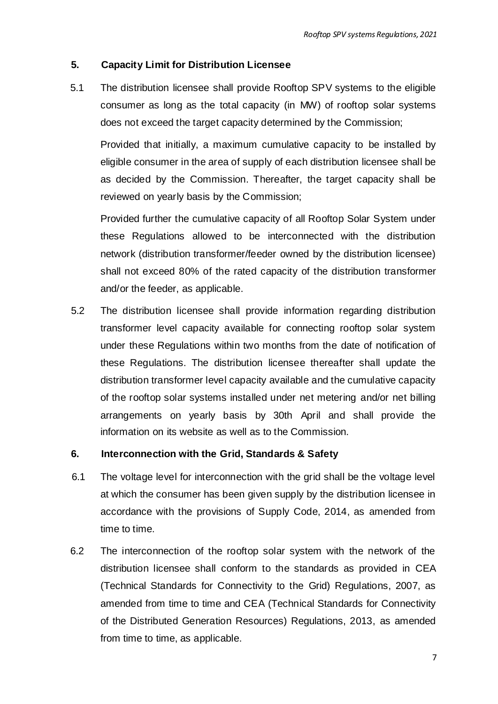## **5. Capacity Limit for Distribution Licensee**

5.1 The distribution licensee shall provide Rooftop SPV systems to the eligible consumer as long as the total capacity (in MW) of rooftop solar systems does not exceed the target capacity determined by the Commission;

Provided that initially, a maximum cumulative capacity to be installed by eligible consumer in the area of supply of each distribution licensee shall be as decided by the Commission. Thereafter, the target capacity shall be reviewed on yearly basis by the Commission;

Provided further the cumulative capacity of all Rooftop Solar System under these Regulations allowed to be interconnected with the distribution network (distribution transformer/feeder owned by the distribution licensee) shall not exceed 80% of the rated capacity of the distribution transformer and/or the feeder, as applicable.

5.2 The distribution licensee shall provide information regarding distribution transformer level capacity available for connecting rooftop solar system under these Regulations within two months from the date of notification of these Regulations. The distribution licensee thereafter shall update the distribution transformer level capacity available and the cumulative capacity of the rooftop solar systems installed under net metering and/or net billing arrangements on yearly basis by 30th April and shall provide the information on its website as well as to the Commission.

## **6. Interconnection with the Grid, Standards & Safety**

- 6.1 The voltage level for interconnection with the grid shall be the voltage level at which the consumer has been given supply by the distribution licensee in accordance with the provisions of Supply Code, 2014, as amended from time to time.
- 6.2 The interconnection of the rooftop solar system with the network of the distribution licensee shall conform to the standards as provided in CEA (Technical Standards for Connectivity to the Grid) Regulations, 2007, as amended from time to time and CEA (Technical Standards for Connectivity of the Distributed Generation Resources) Regulations, 2013, as amended from time to time, as applicable.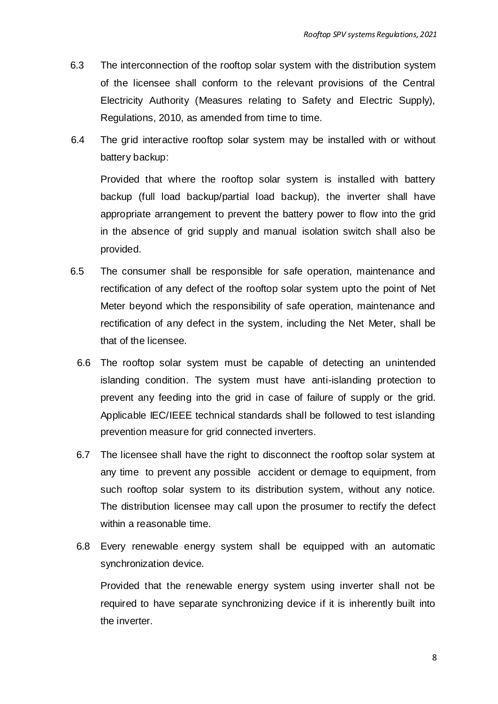- 6.3 The interconnection of the rooftop solar system with the distribution system of the licensee shall conform to the relevant provisions of the Central Electricity Authority (Measures relating to Safety and Electric Supply), Regulations, 2010, as amended from time to time.
- 6.4 The grid interactive rooftop solar system may be installed with or without battery backup:

Provided that where the rooftop solar system is installed with battery backup (full load backup/partial load backup), the inverter shall have appropriate arrangement to prevent the battery power to flow into the grid in the absence of grid supply and manual isolation switch shall also be provided.

- 6.5 The consumer shall be responsible for safe operation, maintenance and rectification of any defect of the rooftop solar system upto the point of Net Meter beyond which the responsibility of safe operation, maintenance and rectification of any defect in the system, including the Net Meter, shall be that of the licensee.
	- 6.6 The rooftop solar system must be capable of detecting an unintended islanding condition. The system must have anti-islanding protection to prevent any feeding into the grid in case of failure of supply or the grid. Applicable IEC/IEEE technical standards shall be followed to test islanding prevention measure for grid connected inverters.
	- 6.7 The licensee shall have the right to disconnect the rooftop solar system at any time to prevent any possible accident or demage to equipment, from such rooftop solar system to its distribution system, without any notice. The distribution licensee may call upon the prosumer to rectify the defect within a reasonable time.
	- 6.8 Every renewable energy system shall be equipped with an automatic synchronization device.

Provided that the renewable energy system using inverter shall not be required to have separate synchronizing device if it is inherently built into the inverter.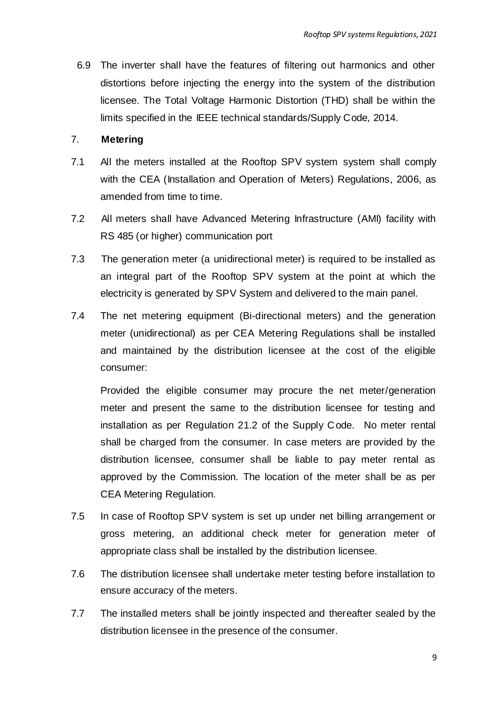6.9 The inverter shall have the features of filtering out harmonics and other distortions before injecting the energy into the system of the distribution licensee. The Total Voltage Harmonic Distortion (THD) shall be within the limits specified in the IEEE technical standards/Supply Code, 2014.

## 7. **Metering**

- 7.1 All the meters installed at the Rooftop SPV system system shall comply with the CEA (Installation and Operation of Meters) Regulations, 2006, as amended from time to time.
- 7.2 All meters shall have Advanced Metering Infrastructure (AMI) facility with RS 485 (or higher) communication port
- 7.3 The generation meter (a unidirectional meter) is required to be installed as an integral part of the Rooftop SPV system at the point at which the electricity is generated by SPV System and delivered to the main panel.
- 7.4 The net metering equipment (Bi-directional meters) and the generation meter (unidirectional) as per CEA Metering Regulations shall be installed and maintained by the distribution licensee at the cost of the eligible consumer:

Provided the eligible consumer may procure the net meter/generation meter and present the same to the distribution licensee for testing and installation as per Regulation 21.2 of the Supply Code. No meter rental shall be charged from the consumer. In case meters are provided by the distribution licensee, consumer shall be liable to pay meter rental as approved by the Commission. The location of the meter shall be as per CEA Metering Regulation.

- 7.5 In case of Rooftop SPV system is set up under net billing arrangement or gross metering, an additional check meter for generation meter of appropriate class shall be installed by the distribution licensee.
- 7.6 The distribution licensee shall undertake meter testing before installation to ensure accuracy of the meters.
- 7.7 The installed meters shall be jointly inspected and thereafter sealed by the distribution licensee in the presence of the consumer.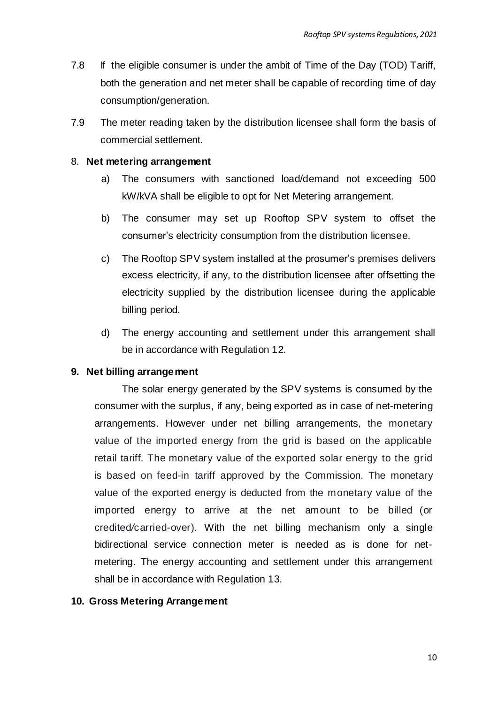- 7.8 If the eligible consumer is under the ambit of Time of the Day (TOD) Tariff, both the generation and net meter shall be capable of recording time of day consumption/generation.
- 7.9 The meter reading taken by the distribution licensee shall form the basis of commercial settlement.

## 8. **Net metering arrangement**

- a) The consumers with sanctioned load/demand not exceeding 500 kW/kVA shall be eligible to opt for Net Metering arrangement.
- b) The consumer may set up Rooftop SPV system to offset the consumer's electricity consumption from the distribution licensee.
- c) The Rooftop SPV system installed at the prosumer's premises delivers excess electricity, if any, to the distribution licensee after offsetting the electricity supplied by the distribution licensee during the applicable billing period.
- d) The energy accounting and settlement under this arrangement shall be in accordance with Regulation 12.

#### **9. Net billing arrangement**

The solar energy generated by the SPV systems is consumed by the consumer with the surplus, if any, being exported as in case of net-metering arrangements. However under net billing arrangements, the monetary value of the imported energy from the grid is based on the applicable retail tariff. The monetary value of the exported solar energy to the grid is based on feed-in tariff approved by the Commission. The monetary value of the exported energy is deducted from the monetary value of the imported energy to arrive at the net amount to be billed (or credited*/*carried-over). With the net billing mechanism only a single bidirectional service connection meter is needed as is done for netmetering. The energy accounting and settlement under this arrangement shall be in accordance with Regulation 13.

#### **10. Gross Metering Arrangement**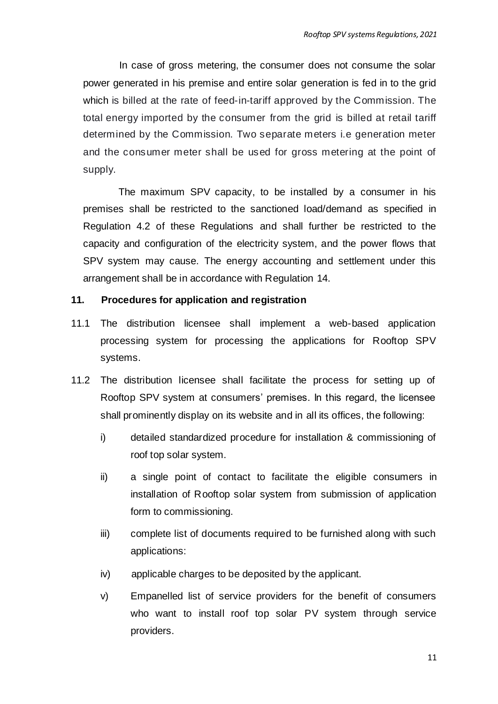In case of gross metering, the consumer does not consume the solar power generated in his premise and entire solar generation is fed in to the grid which is billed at the rate of feed-in-tariff approved by the Commission. The total energy imported by the consumer from the grid is billed at retail tariff determined by the Commission. Two separate meters i.e generation meter and the consumer meter shall be used for gross metering at the point of supply.

The maximum SPV capacity, to be installed by a consumer in his premises shall be restricted to the sanctioned load/demand as specified in Regulation 4.2 of these Regulations and shall further be restricted to the capacity and configuration of the electricity system, and the power flows that SPV system may cause. The energy accounting and settlement under this arrangement shall be in accordance with Regulation 14.

#### **11. Procedures for application and registration**

- 11.1 The distribution licensee shall implement a web-based application processing system for processing the applications for Rooftop SPV systems.
- 11.2 The distribution licensee shall facilitate the process for setting up of Rooftop SPV system at consumers' premises. In this regard, the licensee shall prominently display on its website and in all its offices, the following:
	- i) detailed standardized procedure for installation & commissioning of roof top solar system.
	- ii) a single point of contact to facilitate the eligible consumers in installation of Rooftop solar system from submission of application form to commissioning.
	- iii) complete list of documents required to be furnished along with such applications:
	- iv) applicable charges to be deposited by the applicant.
	- v) Empanelled list of service providers for the benefit of consumers who want to install roof top solar PV system through service providers.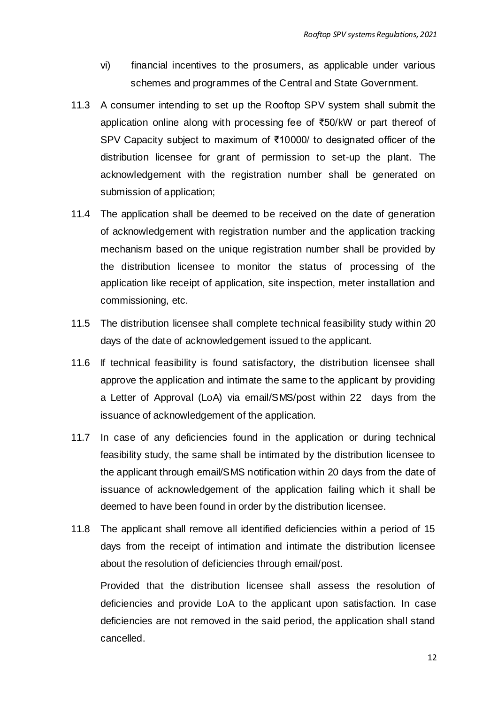- vi) financial incentives to the prosumers, as applicable under various schemes and programmes of the Central and State Government.
- 11.3 A consumer intending to set up the Rooftop SPV system shall submit the application online along with processing fee of ₹50/kW or part thereof of SPV Capacity subject to maximum of ₹10000/ to designated officer of the distribution licensee for grant of permission to set-up the plant. The acknowledgement with the registration number shall be generated on submission of application;
- 11.4 The application shall be deemed to be received on the date of generation of acknowledgement with registration number and the application tracking mechanism based on the unique registration number shall be provided by the distribution licensee to monitor the status of processing of the application like receipt of application, site inspection, meter installation and commissioning, etc.
- 11.5 The distribution licensee shall complete technical feasibility study within 20 days of the date of acknowledgement issued to the applicant.
- 11.6 If technical feasibility is found satisfactory, the distribution licensee shall approve the application and intimate the same to the applicant by providing a Letter of Approval (LoA) via email/SMS/post within 22 days from the issuance of acknowledgement of the application.
- 11.7 In case of any deficiencies found in the application or during technical feasibility study, the same shall be intimated by the distribution licensee to the applicant through email/SMS notification within 20 days from the date of issuance of acknowledgement of the application failing which it shall be deemed to have been found in order by the distribution licensee.
- 11.8 The applicant shall remove all identified deficiencies within a period of 15 days from the receipt of intimation and intimate the distribution licensee about the resolution of deficiencies through email/post.

Provided that the distribution licensee shall assess the resolution of deficiencies and provide LoA to the applicant upon satisfaction. In case deficiencies are not removed in the said period, the application shall stand cancelled.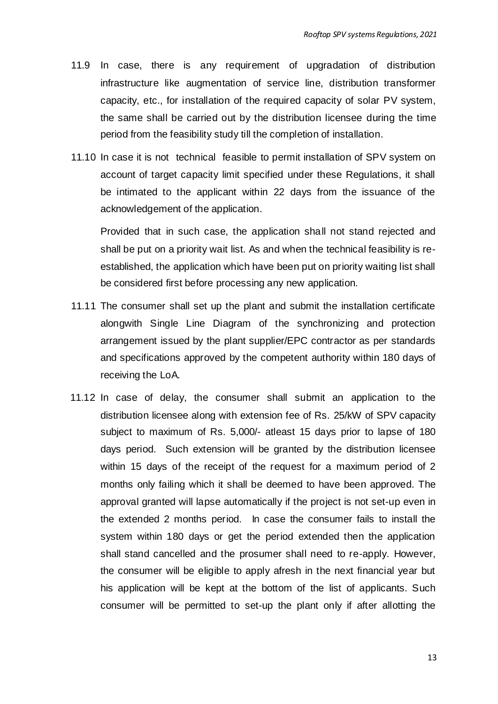- 11.9 In case, there is any requirement of upgradation of distribution infrastructure like augmentation of service line, distribution transformer capacity, etc., for installation of the required capacity of solar PV system, the same shall be carried out by the distribution licensee during the time period from the feasibility study till the completion of installation.
- 11.10 In case it is not technical feasible to permit installation of SPV system on account of target capacity limit specified under these Regulations, it shall be intimated to the applicant within 22 days from the issuance of the acknowledgement of the application.

Provided that in such case, the application shall not stand rejected and shall be put on a priority wait list. As and when the technical feasibility is reestablished, the application which have been put on priority waiting list shall be considered first before processing any new application.

- 11.11 The consumer shall set up the plant and submit the installation certificate alongwith Single Line Diagram of the synchronizing and protection arrangement issued by the plant supplier/EPC contractor as per standards and specifications approved by the competent authority within 180 days of receiving the LoA.
- 11.12 In case of delay, the consumer shall submit an application to the distribution licensee along with extension fee of Rs. 25/kW of SPV capacity subject to maximum of Rs. 5,000/- atleast 15 days prior to lapse of 180 days period. Such extension will be granted by the distribution licensee within 15 days of the receipt of the request for a maximum period of 2 months only failing which it shall be deemed to have been approved. The approval granted will lapse automatically if the project is not set-up even in the extended 2 months period. In case the consumer fails to install the system within 180 days or get the period extended then the application shall stand cancelled and the prosumer shall need to re-apply. However, the consumer will be eligible to apply afresh in the next financial year but his application will be kept at the bottom of the list of applicants. Such consumer will be permitted to set-up the plant only if after allotting the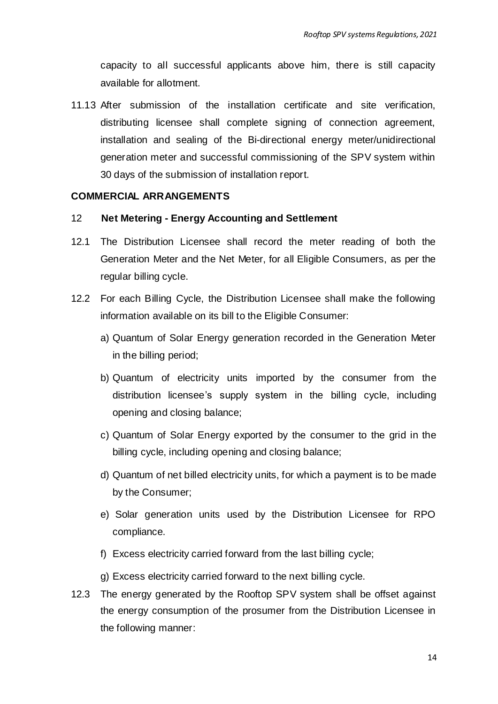capacity to all successful applicants above him, there is still capacity available for allotment.

11.13 After submission of the installation certificate and site verification, distributing licensee shall complete signing of connection agreement, installation and sealing of the Bi-directional energy meter/unidirectional generation meter and successful commissioning of the SPV system within 30 days of the submission of installation report.

#### **COMMERCIAL ARRANGEMENTS**

#### 12 **Net Metering - Energy Accounting and Settlement**

- 12.1 The Distribution Licensee shall record the meter reading of both the Generation Meter and the Net Meter, for all Eligible Consumers, as per the regular billing cycle.
- 12.2 For each Billing Cycle, the Distribution Licensee shall make the following information available on its bill to the Eligible Consumer:
	- a) Quantum of Solar Energy generation recorded in the Generation Meter in the billing period;
	- b) Quantum of electricity units imported by the consumer from the distribution licensee's supply system in the billing cycle, including opening and closing balance;
	- c) Quantum of Solar Energy exported by the consumer to the grid in the billing cycle, including opening and closing balance;
	- d) Quantum of net billed electricity units, for which a payment is to be made by the Consumer;
	- e) Solar generation units used by the Distribution Licensee for RPO compliance.
	- f) Excess electricity carried forward from the last billing cycle;
	- g) Excess electricity carried forward to the next billing cycle.
- 12.3 The energy generated by the Rooftop SPV system shall be offset against the energy consumption of the prosumer from the Distribution Licensee in the following manner: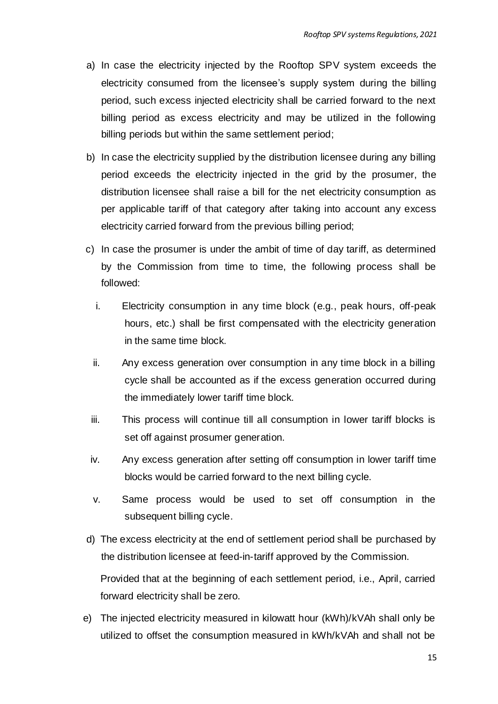- a) In case the electricity injected by the Rooftop SPV system exceeds the electricity consumed from the licensee's supply system during the billing period, such excess injected electricity shall be carried forward to the next billing period as excess electricity and may be utilized in the following billing periods but within the same settlement period;
- b) In case the electricity supplied by the distribution licensee during any billing period exceeds the electricity injected in the grid by the prosumer, the distribution licensee shall raise a bill for the net electricity consumption as per applicable tariff of that category after taking into account any excess electricity carried forward from the previous billing period;
- c) In case the prosumer is under the ambit of time of day tariff, as determined by the Commission from time to time, the following process shall be followed:
	- i. Electricity consumption in any time block (e.g., peak hours, off-peak hours, etc.) shall be first compensated with the electricity generation in the same time block.
	- ii. Any excess generation over consumption in any time block in a billing cycle shall be accounted as if the excess generation occurred during the immediately lower tariff time block.
	- iii. This process will continue till all consumption in lower tariff blocks is set off against prosumer generation.
	- iv. Any excess generation after setting off consumption in lower tariff time blocks would be carried forward to the next billing cycle.
	- v. Same process would be used to set off consumption in the subsequent billing cycle.
- d) The excess electricity at the end of settlement period shall be purchased by the distribution licensee at feed-in-tariff approved by the Commission.

Provided that at the beginning of each settlement period, i.e., April, carried forward electricity shall be zero.

e) The injected electricity measured in kilowatt hour (kWh)/kVAh shall only be utilized to offset the consumption measured in kWh/kVAh and shall not be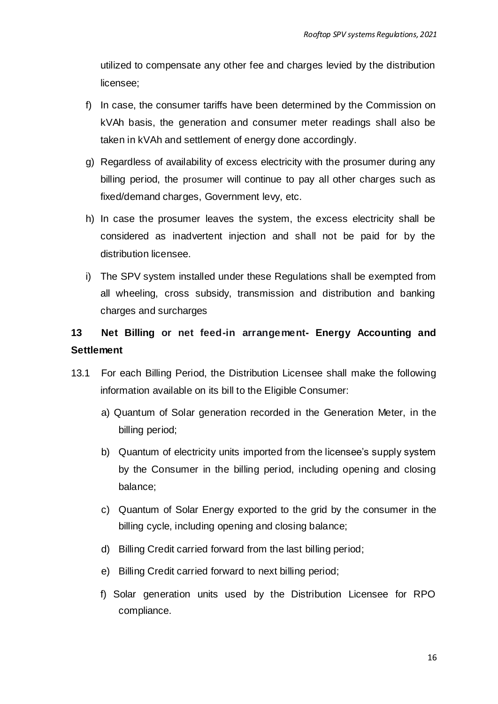utilized to compensate any other fee and charges levied by the distribution licensee;

- f) In case, the consumer tariffs have been determined by the Commission on kVAh basis, the generation and consumer meter readings shall also be taken in kVAh and settlement of energy done accordingly.
- g) Regardless of availability of excess electricity with the prosumer during any billing period, the prosumer will continue to pay all other charges such as fixed/demand charges, Government levy, etc.
- h) In case the prosumer leaves the system, the excess electricity shall be considered as inadvertent injection and shall not be paid for by the distribution licensee.
- i) The SPV system installed under these Regulations shall be exempted from all wheeling, cross subsidy, transmission and distribution and banking charges and surcharges

# **13 Net Billing or net feed-in arrangement- Energy Accounting and Settlement**

- 13.1 For each Billing Period, the Distribution Licensee shall make the following information available on its bill to the Eligible Consumer:
	- a) Quantum of Solar generation recorded in the Generation Meter, in the billing period;
	- b) Quantum of electricity units imported from the licensee's supply system by the Consumer in the billing period, including opening and closing balance;
	- c) Quantum of Solar Energy exported to the grid by the consumer in the billing cycle, including opening and closing balance;
	- d) Billing Credit carried forward from the last billing period;
	- e) Billing Credit carried forward to next billing period;
	- f) Solar generation units used by the Distribution Licensee for RPO compliance.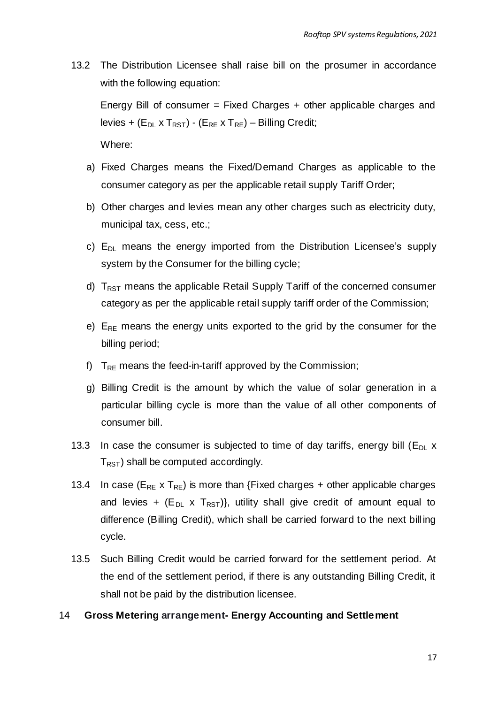13.2 The Distribution Licensee shall raise bill on the prosumer in accordance with the following equation:

Energy Bill of consumer = Fixed Charges + other applicable charges and levies + ( $E_{DL}$  x T<sub>RST</sub>) - ( $E_{RE}$  x T<sub>RE</sub>) – Billing Credit;

Where:

- a) Fixed Charges means the Fixed/Demand Charges as applicable to the consumer category as per the applicable retail supply Tariff Order;
- b) Other charges and levies mean any other charges such as electricity duty, municipal tax, cess, etc.;
- c)  $E_{DL}$  means the energy imported from the Distribution Licensee's supply system by the Consumer for the billing cycle;
- d)  $T_{RST}$  means the applicable Retail Supply Tariff of the concerned consumer category as per the applicable retail supply tariff order of the Commission;
- e)  $E_{RF}$  means the energy units exported to the grid by the consumer for the billing period;
- f)  $T_{RE}$  means the feed-in-tariff approved by the Commission;
- g) Billing Credit is the amount by which the value of solar generation in a particular billing cycle is more than the value of all other components of consumer bill.
- 13.3 In case the consumer is subjected to time of day tariffs, energy bill  $(E_{D} \times E)$  $T_{RST}$ ) shall be computed accordingly.
- 13.4 In case ( $E_{RE}$  x  $T_{RE}$ ) is more than {Fixed charges + other applicable charges and levies +  $(E_{DL} \times T_{RST})$ , utility shall give credit of amount equal to difference (Billing Credit), which shall be carried forward to the next bill ing cycle.
- 13.5 Such Billing Credit would be carried forward for the settlement period. At the end of the settlement period, if there is any outstanding Billing Credit, it shall not be paid by the distribution licensee.

#### 14 **Gross Metering arrangement- Energy Accounting and Settlement**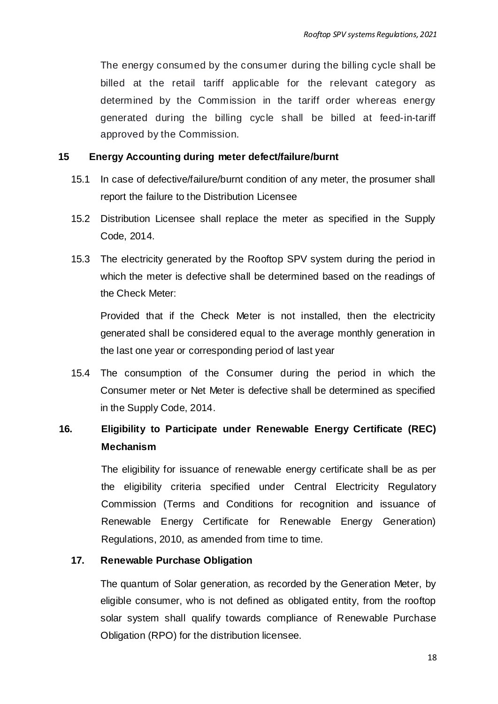The energy consumed by the consumer during the billing cycle shall be billed at the retail tariff applicable for the relevant category as determined by the Commission in the tariff order whereas energy generated during the billing cycle shall be billed at feed-in-tariff approved by the Commission.

#### **15 Energy Accounting during meter defect/failure/burnt**

- 15.1 In case of defective/failure/burnt condition of any meter, the prosumer shall report the failure to the Distribution Licensee
- 15.2 Distribution Licensee shall replace the meter as specified in the Supply Code, 2014.
- 15.3 The electricity generated by the Rooftop SPV system during the period in which the meter is defective shall be determined based on the readings of the Check Meter:

Provided that if the Check Meter is not installed, then the electricity generated shall be considered equal to the average monthly generation in the last one year or corresponding period of last year

15.4 The consumption of the Consumer during the period in which the Consumer meter or Net Meter is defective shall be determined as specified in the Supply Code, 2014.

## **16. Eligibility to Participate under Renewable Energy Certificate (REC) Mechanism**

The eligibility for issuance of renewable energy certificate shall be as per the eligibility criteria specified under Central Electricity Regulatory Commission (Terms and Conditions for recognition and issuance of Renewable Energy Certificate for Renewable Energy Generation) Regulations, 2010, as amended from time to time.

## **17. Renewable Purchase Obligation**

The quantum of Solar generation, as recorded by the Generation Meter, by eligible consumer, who is not defined as obligated entity, from the rooftop solar system shall qualify towards compliance of Renewable Purchase Obligation (RPO) for the distribution licensee.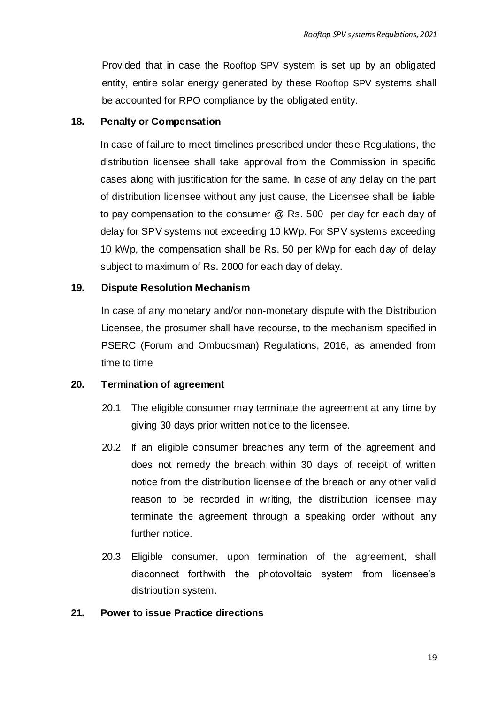Provided that in case the Rooftop SPV system is set up by an obligated entity, entire solar energy generated by these Rooftop SPV systems shall be accounted for RPO compliance by the obligated entity.

#### **18. Penalty or Compensation**

In case of failure to meet timelines prescribed under these Regulations, the distribution licensee shall take approval from the Commission in specific cases along with justification for the same. In case of any delay on the part of distribution licensee without any just cause, the Licensee shall be liable to pay compensation to the consumer @ Rs. 500 per day for each day of delay for SPV systems not exceeding 10 kWp. For SPV systems exceeding 10 kWp, the compensation shall be Rs. 50 per kWp for each day of delay subject to maximum of Rs. 2000 for each day of delay.

## **19. Dispute Resolution Mechanism**

In case of any monetary and/or non-monetary dispute with the Distribution Licensee, the prosumer shall have recourse, to the mechanism specified in PSERC (Forum and Ombudsman) Regulations, 2016, as amended from time to time

#### **20. Termination of agreement**

- 20.1 The eligible consumer may terminate the agreement at any time by giving 30 days prior written notice to the licensee.
- 20.2 If an eligible consumer breaches any term of the agreement and does not remedy the breach within 30 days of receipt of written notice from the distribution licensee of the breach or any other valid reason to be recorded in writing, the distribution licensee may terminate the agreement through a speaking order without any further notice.
- 20.3 Eligible consumer, upon termination of the agreement, shall disconnect forthwith the photovoltaic system from licensee's distribution system.

#### **21. Power to issue Practice directions**